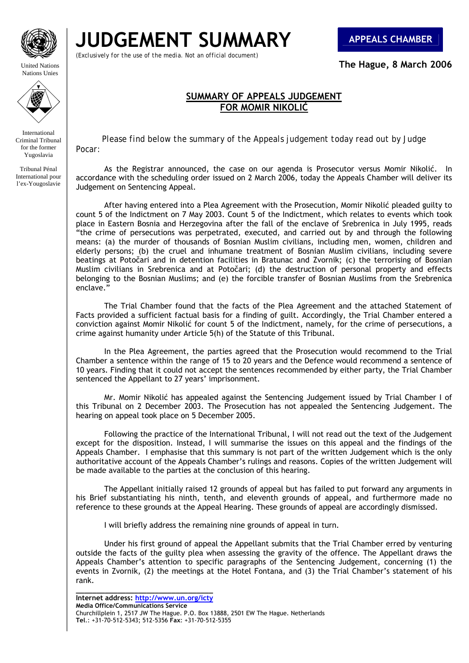

United Nations Nations Unies

**JUDGEMENT SUMMARY APPEALS CHAMBER**

*(Exclusively for the use of the media. Not an official document)*

**The Hague, 8 March 2006** 

## **SUMMARY OF APPEALS JUDGEMENT** **FOR MOMIR NIKOLIĆ**

 *Please find below the summary of the Appeals judgement today read out by Judge Pocar:* 

Tribunal Pénal International pour l'ex-Yougoslavie

International Criminal Tribunal for the former Yugoslavia

> As the Registrar announced, the case on our agenda is Prosecutor versus Momir Nikolić. In accordance with the scheduling order issued on 2 March 2006, today the Appeals Chamber will deliver its Judgement on Sentencing Appeal.

> After having entered into a Plea Agreement with the Prosecution, Momir Nikolić pleaded guilty to count 5 of the Indictment on 7 May 2003. Count 5 of the Indictment, which relates to events which took place in Eastern Bosnia and Herzegovina after the fall of the enclave of Srebrenica in July 1995, reads "the crime of persecutions was perpetrated, executed, and carried out by and through the following means: (a) the murder of thousands of Bosnian Muslim civilians, including men, women, children and elderly persons; (b) the cruel and inhumane treatment of Bosnian Muslim civilians, including severe beatings at Potočari and in detention facilities in Bratunac and Zvornik; (c) the terrorising of Bosnian Muslim civilians in Srebrenica and at Potočari; (d) the destruction of personal property and effects belonging to the Bosnian Muslims; and (e) the forcible transfer of Bosnian Muslims from the Srebrenica enclave."

> The Trial Chamber found that the facts of the Plea Agreement and the attached Statement of Facts provided a sufficient factual basis for a finding of guilt. Accordingly, the Trial Chamber entered a conviction against Momir Nikolić for count 5 of the Indictment, namely, for the crime of persecutions, a crime against humanity under Article 5(h) of the Statute of this Tribunal.

> In the Plea Agreement, the parties agreed that the Prosecution would recommend to the Trial Chamber a sentence within the range of 15 to 20 years and the Defence would recommend a sentence of 10 years. Finding that it could not accept the sentences recommended by either party, the Trial Chamber sentenced the Appellant to 27 years' imprisonment.

> Mr. Momir Nikolić has appealed against the Sentencing Judgement issued by Trial Chamber I of this Tribunal on 2 December 2003. The Prosecution has not appealed the Sentencing Judgement. The hearing on appeal took place on 5 December 2005.

> Following the practice of the International Tribunal, I will not read out the text of the Judgement except for the disposition. Instead, I will summarise the issues on this appeal and the findings of the Appeals Chamber. I emphasise that this summary is not part of the written Judgement which is the only authoritative account of the Appeals Chamber's rulings and reasons. Copies of the written Judgement will be made available to the parties at the conclusion of this hearing.

> The Appellant initially raised 12 grounds of appeal but has failed to put forward any arguments in his Brief substantiating his ninth, tenth, and eleventh grounds of appeal, and furthermore made no reference to these grounds at the Appeal Hearing. These grounds of appeal are accordingly dismissed.

I will briefly address the remaining nine grounds of appeal in turn.

 Under his first ground of appeal the Appellant submits that the Trial Chamber erred by venturing outside the facts of the guilty plea when assessing the gravity of the offence. The Appellant draws the Appeals Chamber's attention to specific paragraphs of the Sentencing Judgement, concerning (1) the events in Zvornik, (2) the meetings at the Hotel Fontana, and (3) the Trial Chamber's statement of his rank.

**\_\_\_\_\_\_\_\_\_\_\_\_\_\_\_\_\_\_\_\_\_\_\_\_\_\_\_\_\_\_\_\_\_**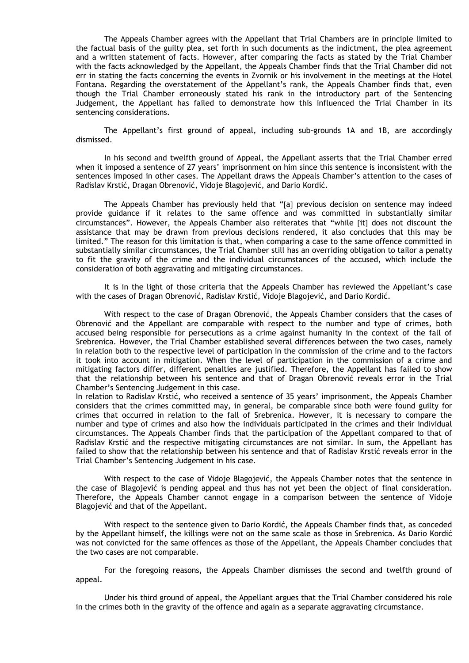The Appeals Chamber agrees with the Appellant that Trial Chambers are in principle limited to the factual basis of the guilty plea, set forth in such documents as the indictment, the plea agreement and a written statement of facts. However, after comparing the facts as stated by the Trial Chamber with the facts acknowledged by the Appellant, the Appeals Chamber finds that the Trial Chamber did not err in stating the facts concerning the events in Zvornik or his involvement in the meetings at the Hotel Fontana. Regarding the overstatement of the Appellant's rank, the Appeals Chamber finds that, even though the Trial Chamber erroneously stated his rank in the introductory part of the Sentencing Judgement, the Appellant has failed to demonstrate how this influenced the Trial Chamber in its sentencing considerations.

 The Appellant's first ground of appeal, including sub-grounds 1A and 1B, are accordingly dismissed.

In his second and twelfth ground of Appeal, the Appellant asserts that the Trial Chamber erred when it imposed a sentence of 27 years' imprisonment on him since this sentence is inconsistent with the sentences imposed in other cases. The Appellant draws the Appeals Chamber's attention to the cases of Radislav Krstić, Dragan Obrenović, Vidoje Blagojević, and Dario Kordić.

The Appeals Chamber has previously held that "[a] previous decision on sentence may indeed provide guidance if it relates to the same offence and was committed in substantially similar circumstances". However, the Appeals Chamber also reiterates that "while [it] does not discount the assistance that may be drawn from previous decisions rendered, it also concludes that this may be limited." The reason for this limitation is that, when comparing a case to the same offence committed in substantially similar circumstances, the Trial Chamber still has an overriding obligation to tailor a penalty to fit the gravity of the crime and the individual circumstances of the accused, which include the consideration of both aggravating and mitigating circumstances.

 It is in the light of those criteria that the Appeals Chamber has reviewed the Appellant's case with the cases of Dragan Obrenović, Radislav Krstić, Vidoje Blagojević, and Dario Kordić.

 With respect to the case of Dragan Obrenović, the Appeals Chamber considers that the cases of Obrenović and the Appellant are comparable with respect to the number and type of crimes, both accused being responsible for persecutions as a crime against humanity in the context of the fall of Srebrenica. However, the Trial Chamber established several differences between the two cases, namely in relation both to the respective level of participation in the commission of the crime and to the factors it took into account in mitigation. When the level of participation in the commission of a crime and mitigating factors differ, different penalties are justified. Therefore, the Appellant has failed to show that the relationship between his sentence and that of Dragan Obrenović reveals error in the Trial Chamber's Sentencing Judgement in this case.

In relation to Radislav Krstić, who received a sentence of 35 years' imprisonment, the Appeals Chamber considers that the crimes committed may, in general, be comparable since both were found guilty for crimes that occurred in relation to the fall of Srebrenica. However, it is necessary to compare the number and type of crimes and also how the individuals participated in the crimes and their individual circumstances. The Appeals Chamber finds that the participation of the Appellant compared to that of Radislav Krstić and the respective mitigating circumstances are not similar. In sum, the Appellant has failed to show that the relationship between his sentence and that of Radislav Krstić reveals error in the Trial Chamber's Sentencing Judgement in his case.

 With respect to the case of Vidoje Blagojević, the Appeals Chamber notes that the sentence in the case of Blagojević is pending appeal and thus has not yet been the object of final consideration. Therefore, the Appeals Chamber cannot engage in a comparison between the sentence of Vidoje Blagojević and that of the Appellant.

 With respect to the sentence given to Dario Kordić, the Appeals Chamber finds that, as conceded by the Appellant himself, the killings were not on the same scale as those in Srebrenica. As Dario Kordić was not convicted for the same offences as those of the Appellant, the Appeals Chamber concludes that the two cases are not comparable.

For the foregoing reasons, the Appeals Chamber dismisses the second and twelfth ground of appeal.

 Under his third ground of appeal, the Appellant argues that the Trial Chamber considered his role in the crimes both in the gravity of the offence and again as a separate aggravating circumstance.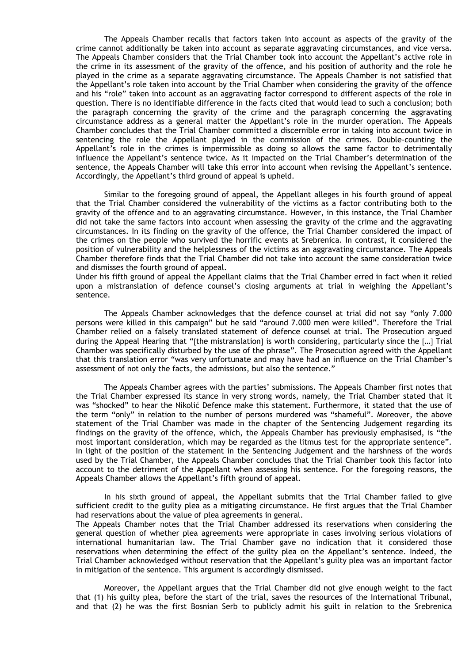The Appeals Chamber recalls that factors taken into account as aspects of the gravity of the crime cannot additionally be taken into account as separate aggravating circumstances, and vice versa. The Appeals Chamber considers that the Trial Chamber took into account the Appellant's active role in the crime in its assessment of the gravity of the offence, and his position of authority and the role he played in the crime as a separate aggravating circumstance. The Appeals Chamber is not satisfied that the Appellant's role taken into account by the Trial Chamber when considering the gravity of the offence and his "role" taken into account as an aggravating factor correspond to different aspects of the role in question. There is no identifiable difference in the facts cited that would lead to such a conclusion; both the paragraph concerning the gravity of the crime and the paragraph concerning the aggravating circumstance address as a general matter the Appellant's role in the murder operation. The Appeals Chamber concludes that the Trial Chamber committed a discernible error in taking into account twice in sentencing the role the Appellant played in the commission of the crimes. Double-counting the Appellant's role in the crimes is impermissible as doing so allows the same factor to detrimentally influence the Appellant's sentence twice. As it impacted on the Trial Chamber's determination of the sentence, the Appeals Chamber will take this error into account when revising the Appellant's sentence. Accordingly, the Appellant's third ground of appeal is upheld.

 Similar to the foregoing ground of appeal, the Appellant alleges in his fourth ground of appeal that the Trial Chamber considered the vulnerability of the victims as a factor contributing both to the gravity of the offence and to an aggravating circumstance. However, in this instance, the Trial Chamber did not take the same factors into account when assessing the gravity of the crime and the aggravating circumstances. In its finding on the gravity of the offence, the Trial Chamber considered the impact of the crimes on the people who survived the horrific events at Srebrenica. In contrast, it considered the position of vulnerability and the helplessness of the victims as an aggravating circumstance. The Appeals Chamber therefore finds that the Trial Chamber did not take into account the same consideration twice and dismisses the fourth ground of appeal.

Under his fifth ground of appeal the Appellant claims that the Trial Chamber erred in fact when it relied upon a mistranslation of defence counsel's closing arguments at trial in weighing the Appellant's sentence.

 The Appeals Chamber acknowledges that the defence counsel at trial did not say "only 7.000 persons were killed in this campaign" but he said "around 7.000 men were killed". Therefore the Trial Chamber relied on a falsely translated statement of defence counsel at trial. The Prosecution argued during the Appeal Hearing that "[the mistranslation] is worth considering, particularly since the [...] Trial Chamber was specifically disturbed by the use of the phrase". The Prosecution agreed with the Appellant that this translation error "was very unfortunate and may have had an influence on the Trial Chamber's assessment of not only the facts, the admissions, but also the sentence."

 The Appeals Chamber agrees with the parties' submissions. The Appeals Chamber first notes that the Trial Chamber expressed its stance in very strong words, namely, the Trial Chamber stated that it was "shocked" to hear the Nikolić Defence make this statement. Furthermore, it stated that the use of the term "only" in relation to the number of persons murdered was "shameful". Moreover, the above statement of the Trial Chamber was made in the chapter of the Sentencing Judgement regarding its findings on the gravity of the offence, which, the Appeals Chamber has previously emphasised, is "the most important consideration, which may be regarded as the litmus test for the appropriate sentence". In light of the position of the statement in the Sentencing Judgement and the harshness of the words used by the Trial Chamber, the Appeals Chamber concludes that the Trial Chamber took this factor into account to the detriment of the Appellant when assessing his sentence. For the foregoing reasons, the Appeals Chamber allows the Appellant's fifth ground of appeal.

In his sixth ground of appeal, the Appellant submits that the Trial Chamber failed to give sufficient credit to the guilty plea as a mitigating circumstance. He first argues that the Trial Chamber had reservations about the value of plea agreements in general.

The Appeals Chamber notes that the Trial Chamber addressed its reservations when considering the general question of whether plea agreements were appropriate in cases involving serious violations of international humanitarian law. The Trial Chamber gave no indication that it considered those reservations when determining the effect of the guilty plea on the Appellant's sentence. Indeed, the Trial Chamber acknowledged without reservation that the Appellant's guilty plea was an important factor in mitigation of the sentence. This argument is accordingly dismissed.

 Moreover, the Appellant argues that the Trial Chamber did not give enough weight to the fact that (1) his guilty plea, before the start of the trial, saves the resources of the International Tribunal, and that (2) he was the first Bosnian Serb to publicly admit his guilt in relation to the Srebrenica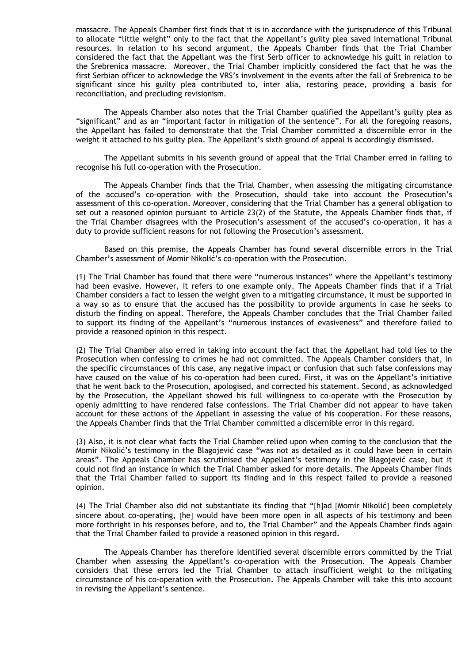massacre. The Appeals Chamber first finds that it is in accordance with the jurisprudence of this Tribunal to allocate "little weight" only to the fact that the Appellant's guilty plea saved International Tribunal resources. In relation to his second argument, the Appeals Chamber finds that the Trial Chamber considered the fact that the Appellant was the first Serb officer to acknowledge his guilt in relation to the Srebrenica massacre. Moreover, the Trial Chamber implicitly considered the fact that he was the first Serbian officer to acknowledge the VRS's involvement in the events after the fall of Srebrenica to be significant since his guilty plea contributed to, inter alia, restoring peace, providing a basis for reconciliation, and precluding revisionism.

 The Appeals Chamber also notes that the Trial Chamber qualified the Appellant's guilty plea as "significant" and as an "important factor in mitigation of the sentence". For all the foregoing reasons, the Appellant has failed to demonstrate that the Trial Chamber committed a discernible error in the weight it attached to his guilty plea. The Appellant's sixth ground of appeal is accordingly dismissed.

 The Appellant submits in his seventh ground of appeal that the Trial Chamber erred in failing to recognise his full co-operation with the Prosecution.

 The Appeals Chamber finds that the Trial Chamber, when assessing the mitigating circumstance of the accused's co-operation with the Prosecution, should take into account the Prosecution's assessment of this co-operation. Moreover, considering that the Trial Chamber has a general obligation to set out a reasoned opinion pursuant to Article 23(2) of the Statute, the Appeals Chamber finds that, if the Trial Chamber disagrees with the Prosecution's assessment of the accused's co-operation, it has a duty to provide sufficient reasons for not following the Prosecution's assessment.

 Based on this premise, the Appeals Chamber has found several discernible errors in the Trial Chamber's assessment of Momir Nikolić's co-operation with the Prosecution.

(1) The Trial Chamber has found that there were "numerous instances" where the Appellant's testimony had been evasive. However, it refers to one example only. The Appeals Chamber finds that if a Trial Chamber considers a fact to lessen the weight given to a mitigating circumstance, it must be supported in a way so as to ensure that the accused has the possibility to provide arguments in case he seeks to disturb the finding on appeal. Therefore, the Appeals Chamber concludes that the Trial Chamber failed to support its finding of the Appellant's "numerous instances of evasiveness" and therefore failed to provide a reasoned opinion in this respect.

(2) The Trial Chamber also erred in taking into account the fact that the Appellant had told lies to the Prosecution when confessing to crimes he had not committed. The Appeals Chamber considers that, in the specific circumstances of this case, any negative impact or confusion that such false confessions may have caused on the value of his co-operation had been cured. First, it was on the Appellant's initiative that he went back to the Prosecution, apologised, and corrected his statement. Second, as acknowledged by the Prosecution, the Appellant showed his full willingness to co-operate with the Prosecution by openly admitting to have rendered false confessions. The Trial Chamber did not appear to have taken account for these actions of the Appellant in assessing the value of his cooperation. For these reasons, the Appeals Chamber finds that the Trial Chamber committed a discernible error in this regard.

(3) Also, it is not clear what facts the Trial Chamber relied upon when coming to the conclusion that the Momir Nikolić's testimony in the Blagojević case "was not as detailed as it could have been in certain areas". The Appeals Chamber has scrutinised the Appellant's testimony in the Blagojević case, but it could not find an instance in which the Trial Chamber asked for more details. The Appeals Chamber finds that the Trial Chamber failed to support its finding and in this respect failed to provide a reasoned opinion.

(4) The Trial Chamber also did not substantiate its finding that "[h]ad [Momir Nikolić] been completely sincere about co-operating, [he] would have been more open in all aspects of his testimony and been more forthright in his responses before, and to, the Trial Chamber" and the Appeals Chamber finds again that the Trial Chamber failed to provide a reasoned opinion in this regard.

 The Appeals Chamber has therefore identified several discernible errors committed by the Trial Chamber when assessing the Appellant's co-operation with the Prosecution. The Appeals Chamber considers that these errors led the Trial Chamber to attach insufficient weight to the mitigating circumstance of his co-operation with the Prosecution. The Appeals Chamber will take this into account in revising the Appellant's sentence.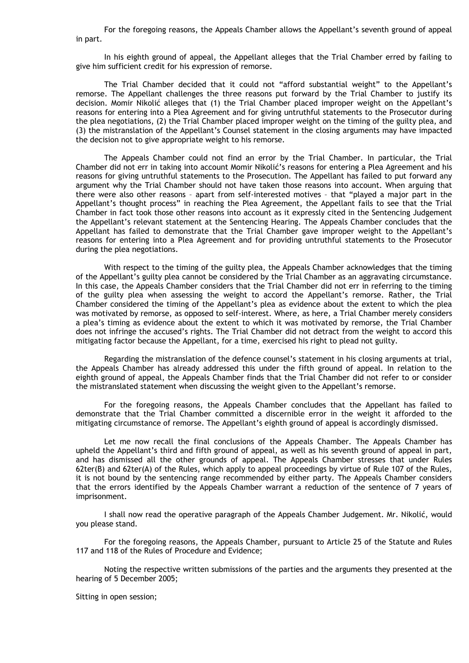For the foregoing reasons, the Appeals Chamber allows the Appellant's seventh ground of appeal in part.

In his eighth ground of appeal, the Appellant alleges that the Trial Chamber erred by failing to give him sufficient credit for his expression of remorse.

 The Trial Chamber decided that it could not "afford substantial weight" to the Appellant's remorse. The Appellant challenges the three reasons put forward by the Trial Chamber to justify its decision. Momir Nikolić alleges that (1) the Trial Chamber placed improper weight on the Appellant's reasons for entering into a Plea Agreement and for giving untruthful statements to the Prosecutor during the plea negotiations, (2) the Trial Chamber placed improper weight on the timing of the guilty plea, and (3) the mistranslation of the Appellant's Counsel statement in the closing arguments may have impacted the decision not to give appropriate weight to his remorse.

 The Appeals Chamber could not find an error by the Trial Chamber. In particular, the Trial Chamber did not err in taking into account Momir Nikolić's reasons for entering a Plea Agreement and his reasons for giving untruthful statements to the Prosecution. The Appellant has failed to put forward any argument why the Trial Chamber should not have taken those reasons into account. When arguing that there were also other reasons – apart from self-interested motives – that "played a major part in the Appellant's thought process" in reaching the Plea Agreement, the Appellant fails to see that the Trial Chamber in fact took those other reasons into account as it expressly cited in the Sentencing Judgement the Appellant's relevant statement at the Sentencing Hearing. The Appeals Chamber concludes that the Appellant has failed to demonstrate that the Trial Chamber gave improper weight to the Appellant's reasons for entering into a Plea Agreement and for providing untruthful statements to the Prosecutor during the plea negotiations.

 With respect to the timing of the guilty plea, the Appeals Chamber acknowledges that the timing of the Appellant's guilty plea cannot be considered by the Trial Chamber as an aggravating circumstance. In this case, the Appeals Chamber considers that the Trial Chamber did not err in referring to the timing of the guilty plea when assessing the weight to accord the Appellant's remorse. Rather, the Trial Chamber considered the timing of the Appellant's plea as evidence about the extent to which the plea was motivated by remorse, as opposed to self-interest. Where, as here, a Trial Chamber merely considers a plea's timing as evidence about the extent to which it was motivated by remorse, the Trial Chamber does not infringe the accused's rights. The Trial Chamber did not detract from the weight to accord this mitigating factor because the Appellant, for a time, exercised his right to plead not guilty.

 Regarding the mistranslation of the defence counsel's statement in his closing arguments at trial, the Appeals Chamber has already addressed this under the fifth ground of appeal. In relation to the eighth ground of appeal, the Appeals Chamber finds that the Trial Chamber did not refer to or consider the mistranslated statement when discussing the weight given to the Appellant's remorse.

 For the foregoing reasons, the Appeals Chamber concludes that the Appellant has failed to demonstrate that the Trial Chamber committed a discernible error in the weight it afforded to the mitigating circumstance of remorse. The Appellant's eighth ground of appeal is accordingly dismissed.

 Let me now recall the final conclusions of the Appeals Chamber. The Appeals Chamber has upheld the Appellant's third and fifth ground of appeal, as well as his seventh ground of appeal in part, and has dismissed all the other grounds of appeal. The Appeals Chamber stresses that under Rules 62ter(B) and 62ter(A) of the Rules, which apply to appeal proceedings by virtue of Rule 107 of the Rules, it is not bound by the sentencing range recommended by either party. The Appeals Chamber considers that the errors identified by the Appeals Chamber warrant a reduction of the sentence of 7 years of imprisonment.

 I shall now read the operative paragraph of the Appeals Chamber Judgement. Mr. Nikolić, would you please stand.

For the foregoing reasons, the Appeals Chamber, pursuant to Article 25 of the Statute and Rules 117 and 118 of the Rules of Procedure and Evidence;

 Noting the respective written submissions of the parties and the arguments they presented at the hearing of 5 December 2005;

Sitting in open session;